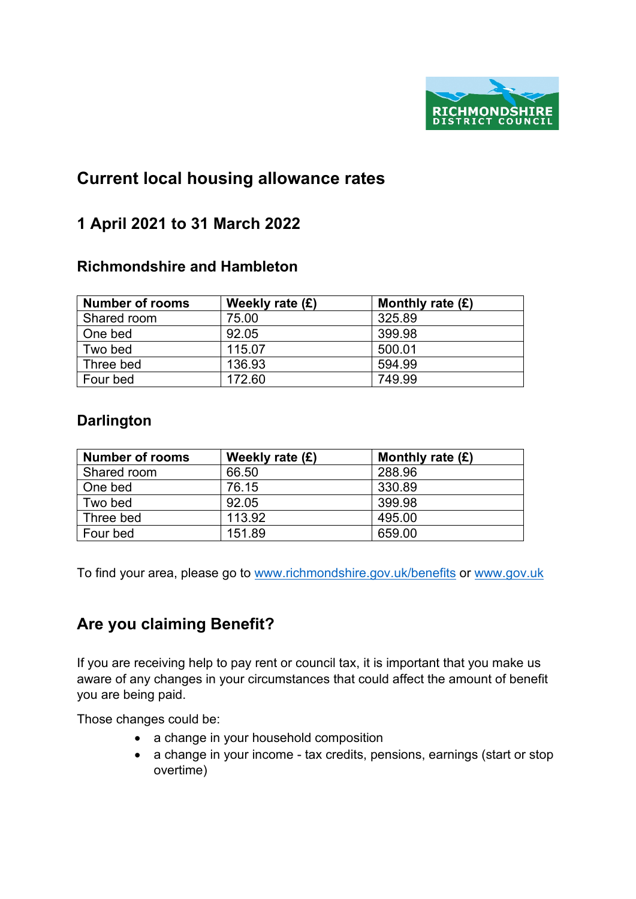

## **Current local housing allowance rates**

### **1 April 2021 to 31 March 2022**

#### **Richmondshire and Hambleton**

| <b>Number of rooms</b> | Weekly rate $(E)$ | Monthly rate $(E)$ |
|------------------------|-------------------|--------------------|
| Shared room            | 75.00             | 325.89             |
| One bed                | 92.05             | 399.98             |
| Two bed                | 115.07            | 500.01             |
| Three bed              | 136.93            | 594.99             |
| Four bed               | 172.60            | 749.99             |

#### **Darlington**

| <b>Number of rooms</b> | Weekly rate $(E)$ | Monthly rate $(E)$ |
|------------------------|-------------------|--------------------|
| Shared room            | 66.50             | 288.96             |
| One bed                | 76.15             | 330.89             |
| Two bed                | 92.05             | 399.98             |
| Three bed              | 113.92            | 495.00             |
| Four bed               | 151.89            | 659.00             |

To find your area, please go to [www.richmondshire.gov.uk/benefits](http://www.richmondshire.gov.uk/benefits) or [www.gov.uk](http://www.gov.uk/)

## **Are you claiming Benefit?**

If you are receiving help to pay rent or council tax, it is important that you make us aware of any changes in your circumstances that could affect the amount of benefit you are being paid.

Those changes could be:

- a change in your household composition
- a change in your income tax credits, pensions, earnings (start or stop overtime)